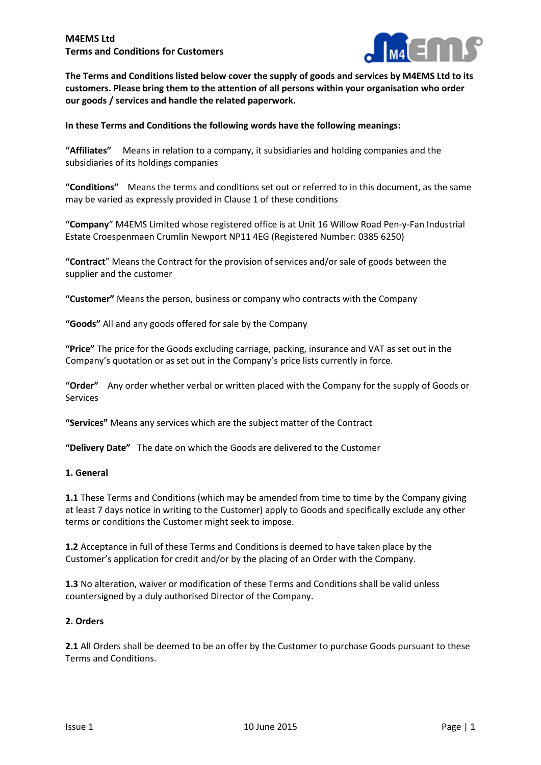

**The Terms and Conditions listed below cover the supply of goods and services by M4EMS Ltd to its customers. Please bring them to the attention of all persons within your organisation who order our goods / services and handle the related paperwork.**

**In these Terms and Conditions the following words have the following meanings:**

**"Affiliates"** Means in relation to a company, it subsidiaries and holding companies and the subsidiaries of its holdings companies

**"Conditions"** Means the terms and conditions set out or referred to in this document, as the same may be varied as expressly provided in Clause 1 of these conditions

**"Company**" M4EMS Limited whose registered office is at Unit 16 Willow Road Pen-y-Fan Industrial Estate Croespenmaen Crumlin Newport NP11 4EG (Registered Number: 0385 6250)

**"Contract**" Means the Contract for the provision of services and/or sale of goods between the supplier and the customer

**"Customer"** Means the person, business or company who contracts with the Company

**"Goods"** All and any goods offered for sale by the Company

**"Price"** The price for the Goods excluding carriage, packing, insurance and VAT as set out in the Company's quotation or as set out in the Company's price lists currently in force.

**"Order"** Any order whether verbal or written placed with the Company for the supply of Goods or Services

**"Services"** Means any services which are the subject matter of the Contract

**"Delivery Date"** The date on which the Goods are delivered to the Customer

### **1. General**

**1.1** These Terms and Conditions (which may be amended from time to time by the Company giving at least 7 days notice in writing to the Customer) apply to Goods and specifically exclude any other terms or conditions the Customer might seek to impose.

**1.2** Acceptance in full of these Terms and Conditions is deemed to have taken place by the Customer's application for credit and/or by the placing of an Order with the Company.

**1.3** No alteration, waiver or modification of these Terms and Conditions shall be valid unless countersigned by a duly authorised Director of the Company.

### **2. Orders**

**2.1** All Orders shall be deemed to be an offer by the Customer to purchase Goods pursuant to these Terms and Conditions.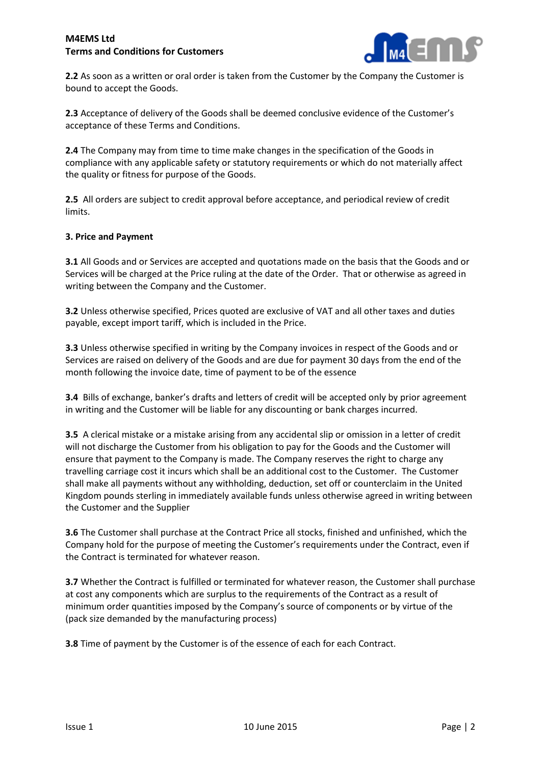

**2.2** As soon as a written or oral order is taken from the Customer by the Company the Customer is bound to accept the Goods.

**2.3** Acceptance of delivery of the Goods shall be deemed conclusive evidence of the Customer's acceptance of these Terms and Conditions.

**2.4** The Company may from time to time make changes in the specification of the Goods in compliance with any applicable safety or statutory requirements or which do not materially affect the quality or fitness for purpose of the Goods.

**2.5** All orders are subject to credit approval before acceptance, and periodical review of credit limits.

### **3. Price and Payment**

**3.1** All Goods and or Services are accepted and quotations made on the basis that the Goods and or Services will be charged at the Price ruling at the date of the Order. That or otherwise as agreed in writing between the Company and the Customer.

**3.2** Unless otherwise specified, Prices quoted are exclusive of VAT and all other taxes and duties payable, except import tariff, which is included in the Price.

**3.3** Unless otherwise specified in writing by the Company invoices in respect of the Goods and or Services are raised on delivery of the Goods and are due for payment 30 days from the end of the month following the invoice date, time of payment to be of the essence

**3.4** Bills of exchange, banker's drafts and letters of credit will be accepted only by prior agreement in writing and the Customer will be liable for any discounting or bank charges incurred.

**3.5** A clerical mistake or a mistake arising from any accidental slip or omission in a letter of credit will not discharge the Customer from his obligation to pay for the Goods and the Customer will ensure that payment to the Company is made. The Company reserves the right to charge any travelling carriage cost it incurs which shall be an additional cost to the Customer. The Customer shall make all payments without any withholding, deduction, set off or counterclaim in the United Kingdom pounds sterling in immediately available funds unless otherwise agreed in writing between the Customer and the Supplier

**3.6** The Customer shall purchase at the Contract Price all stocks, finished and unfinished, which the Company hold for the purpose of meeting the Customer's requirements under the Contract, even if the Contract is terminated for whatever reason.

**3.7** Whether the Contract is fulfilled or terminated for whatever reason, the Customer shall purchase at cost any components which are surplus to the requirements of the Contract as a result of minimum order quantities imposed by the Company's source of components or by virtue of the (pack size demanded by the manufacturing process)

**3.8** Time of payment by the Customer is of the essence of each for each Contract.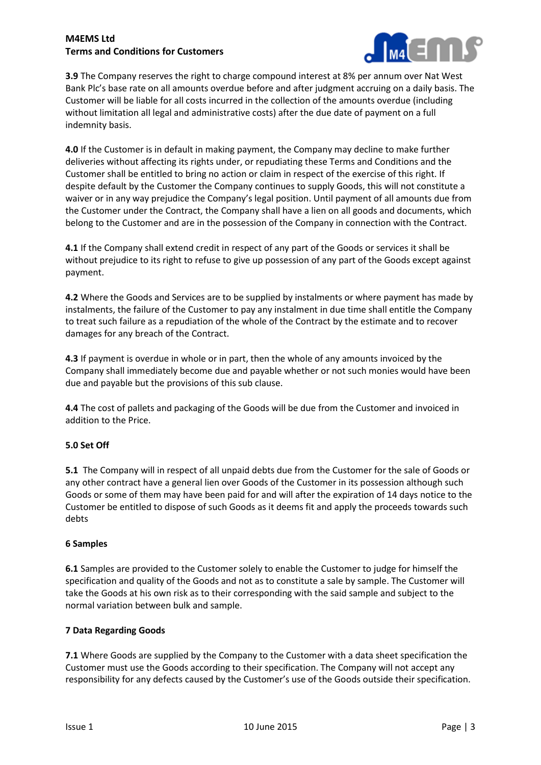

**3.9** The Company reserves the right to charge compound interest at 8% per annum over Nat West Bank Plc's base rate on all amounts overdue before and after judgment accruing on a daily basis. The Customer will be liable for all costs incurred in the collection of the amounts overdue (including without limitation all legal and administrative costs) after the due date of payment on a full indemnity basis.

**4.0** If the Customer is in default in making payment, the Company may decline to make further deliveries without affecting its rights under, or repudiating these Terms and Conditions and the Customer shall be entitled to bring no action or claim in respect of the exercise of this right. If despite default by the Customer the Company continues to supply Goods, this will not constitute a waiver or in any way prejudice the Company's legal position. Until payment of all amounts due from the Customer under the Contract, the Company shall have a lien on all goods and documents, which belong to the Customer and are in the possession of the Company in connection with the Contract.

**4.1** If the Company shall extend credit in respect of any part of the Goods or services it shall be without prejudice to its right to refuse to give up possession of any part of the Goods except against payment.

**4.2** Where the Goods and Services are to be supplied by instalments or where payment has made by instalments, the failure of the Customer to pay any instalment in due time shall entitle the Company to treat such failure as a repudiation of the whole of the Contract by the estimate and to recover damages for any breach of the Contract.

**4.3** If payment is overdue in whole or in part, then the whole of any amounts invoiced by the Company shall immediately become due and payable whether or not such monies would have been due and payable but the provisions of this sub clause.

**4.4** The cost of pallets and packaging of the Goods will be due from the Customer and invoiced in addition to the Price.

# **5.0 Set Off**

**5.1** The Company will in respect of all unpaid debts due from the Customer for the sale of Goods or any other contract have a general lien over Goods of the Customer in its possession although such Goods or some of them may have been paid for and will after the expiration of 14 days notice to the Customer be entitled to dispose of such Goods as it deems fit and apply the proceeds towards such debts

### **6 Samples**

**6.1** Samples are provided to the Customer solely to enable the Customer to judge for himself the specification and quality of the Goods and not as to constitute a sale by sample. The Customer will take the Goods at his own risk as to their corresponding with the said sample and subject to the normal variation between bulk and sample.

### **7 Data Regarding Goods**

**7.1** Where Goods are supplied by the Company to the Customer with a data sheet specification the Customer must use the Goods according to their specification. The Company will not accept any responsibility for any defects caused by the Customer's use of the Goods outside their specification.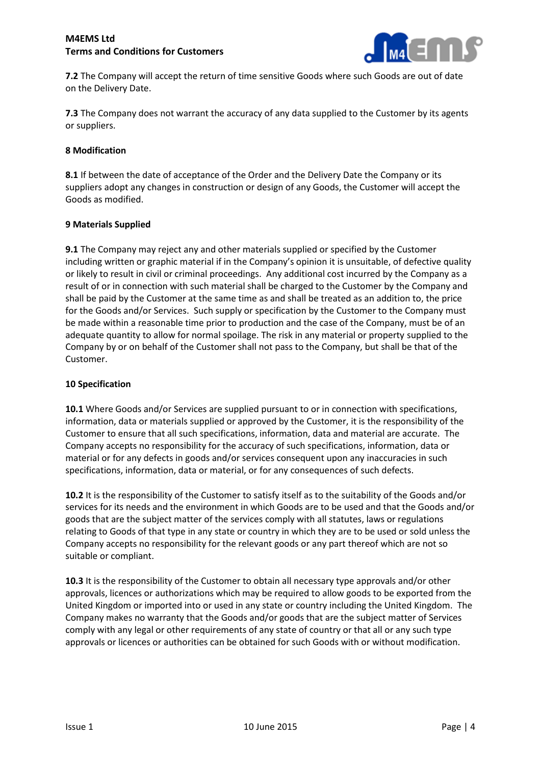

**7.2** The Company will accept the return of time sensitive Goods where such Goods are out of date on the Delivery Date.

**7.3** The Company does not warrant the accuracy of any data supplied to the Customer by its agents or suppliers.

### **8 Modification**

**8.1** If between the date of acceptance of the Order and the Delivery Date the Company or its suppliers adopt any changes in construction or design of any Goods, the Customer will accept the Goods as modified.

#### **9 Materials Supplied**

**9.1** The Company may reject any and other materials supplied or specified by the Customer including written or graphic material if in the Company's opinion it is unsuitable, of defective quality or likely to result in civil or criminal proceedings. Any additional cost incurred by the Company as a result of or in connection with such material shall be charged to the Customer by the Company and shall be paid by the Customer at the same time as and shall be treated as an addition to, the price for the Goods and/or Services. Such supply or specification by the Customer to the Company must be made within a reasonable time prior to production and the case of the Company, must be of an adequate quantity to allow for normal spoilage. The risk in any material or property supplied to the Company by or on behalf of the Customer shall not pass to the Company, but shall be that of the Customer.

#### **10 Specification**

**10.1** Where Goods and/or Services are supplied pursuant to or in connection with specifications, information, data or materials supplied or approved by the Customer, it is the responsibility of the Customer to ensure that all such specifications, information, data and material are accurate. The Company accepts no responsibility for the accuracy of such specifications, information, data or material or for any defects in goods and/or services consequent upon any inaccuracies in such specifications, information, data or material, or for any consequences of such defects.

**10.2** It is the responsibility of the Customer to satisfy itself as to the suitability of the Goods and/or services for its needs and the environment in which Goods are to be used and that the Goods and/or goods that are the subject matter of the services comply with all statutes, laws or regulations relating to Goods of that type in any state or country in which they are to be used or sold unless the Company accepts no responsibility for the relevant goods or any part thereof which are not so suitable or compliant.

**10.3** It is the responsibility of the Customer to obtain all necessary type approvals and/or other approvals, licences or authorizations which may be required to allow goods to be exported from the United Kingdom or imported into or used in any state or country including the United Kingdom. The Company makes no warranty that the Goods and/or goods that are the subject matter of Services comply with any legal or other requirements of any state of country or that all or any such type approvals or licences or authorities can be obtained for such Goods with or without modification.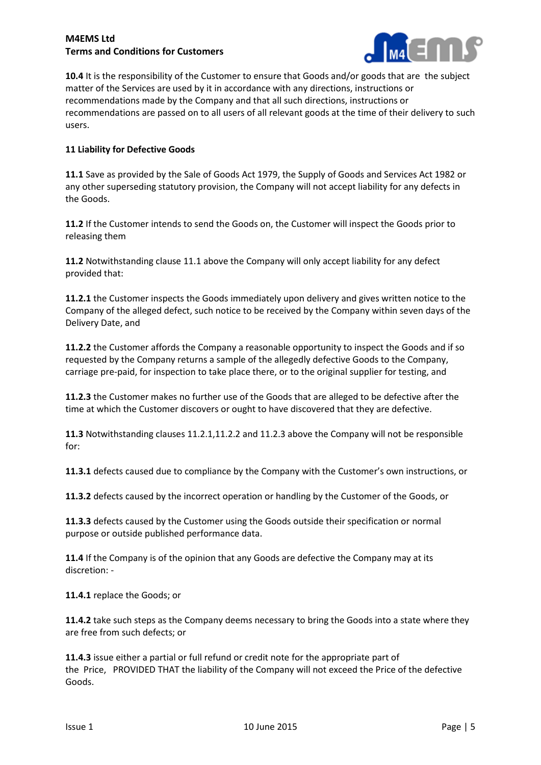

**10.4** It is the responsibility of the Customer to ensure that Goods and/or goods that are the subject matter of the Services are used by it in accordance with any directions, instructions or recommendations made by the Company and that all such directions, instructions or recommendations are passed on to all users of all relevant goods at the time of their delivery to such users.

# **11 Liability for Defective Goods**

**11.1** Save as provided by the Sale of Goods Act 1979, the Supply of Goods and Services Act 1982 or any other superseding statutory provision, the Company will not accept liability for any defects in the Goods.

**11.2** If the Customer intends to send the Goods on, the Customer will inspect the Goods prior to releasing them

**11.2** Notwithstanding clause 11.1 above the Company will only accept liability for any defect provided that:

**11.2.1** the Customer inspects the Goods immediately upon delivery and gives written notice to the Company of the alleged defect, such notice to be received by the Company within seven days of the Delivery Date, and

**11.2.2** the Customer affords the Company a reasonable opportunity to inspect the Goods and if so requested by the Company returns a sample of the allegedly defective Goods to the Company, carriage pre-paid, for inspection to take place there, or to the original supplier for testing, and

**11.2.3** the Customer makes no further use of the Goods that are alleged to be defective after the time at which the Customer discovers or ought to have discovered that they are defective.

**11.3** Notwithstanding clauses 11.2.1,11.2.2 and 11.2.3 above the Company will not be responsible for:

**11.3.1** defects caused due to compliance by the Company with the Customer's own instructions, or

**11.3.2** defects caused by the incorrect operation or handling by the Customer of the Goods, or

**11.3.3** defects caused by the Customer using the Goods outside their specification or normal purpose or outside published performance data.

**11.4** If the Company is of the opinion that any Goods are defective the Company may at its discretion: -

**11.4.1** replace the Goods; or

**11.4.2** take such steps as the Company deems necessary to bring the Goods into a state where they are free from such defects; or

**11.4.3** issue either a partial or full refund or credit note for the appropriate part of the Price, PROVIDED THAT the liability of the Company will not exceed the Price of the defective Goods.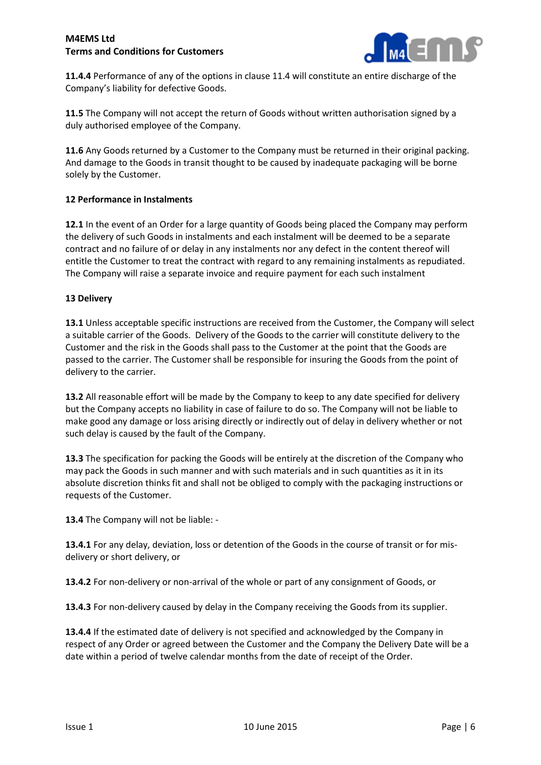

**11.4.4** Performance of any of the options in clause 11.4 will constitute an entire discharge of the Company's liability for defective Goods.

**11.5** The Company will not accept the return of Goods without written authorisation signed by a duly authorised employee of the Company.

**11.6** Any Goods returned by a Customer to the Company must be returned in their original packing. And damage to the Goods in transit thought to be caused by inadequate packaging will be borne solely by the Customer.

## **12 Performance in Instalments**

**12.1** In the event of an Order for a large quantity of Goods being placed the Company may perform the delivery of such Goods in instalments and each instalment will be deemed to be a separate contract and no failure of or delay in any instalments nor any defect in the content thereof will entitle the Customer to treat the contract with regard to any remaining instalments as repudiated. The Company will raise a separate invoice and require payment for each such instalment

## **13 Delivery**

**13.1** Unless acceptable specific instructions are received from the Customer, the Company will select a suitable carrier of the Goods. Delivery of the Goods to the carrier will constitute delivery to the Customer and the risk in the Goods shall pass to the Customer at the point that the Goods are passed to the carrier. The Customer shall be responsible for insuring the Goods from the point of delivery to the carrier.

**13.2** All reasonable effort will be made by the Company to keep to any date specified for delivery but the Company accepts no liability in case of failure to do so. The Company will not be liable to make good any damage or loss arising directly or indirectly out of delay in delivery whether or not such delay is caused by the fault of the Company.

**13.3** The specification for packing the Goods will be entirely at the discretion of the Company who may pack the Goods in such manner and with such materials and in such quantities as it in its absolute discretion thinks fit and shall not be obliged to comply with the packaging instructions or requests of the Customer.

**13.4** The Company will not be liable: -

**13.4.1** For any delay, deviation, loss or detention of the Goods in the course of transit or for misdelivery or short delivery, or

**13.4.2** For non-delivery or non-arrival of the whole or part of any consignment of Goods, or

**13.4.3** For non-delivery caused by delay in the Company receiving the Goods from its supplier.

**13.4.4** If the estimated date of delivery is not specified and acknowledged by the Company in respect of any Order or agreed between the Customer and the Company the Delivery Date will be a date within a period of twelve calendar months from the date of receipt of the Order.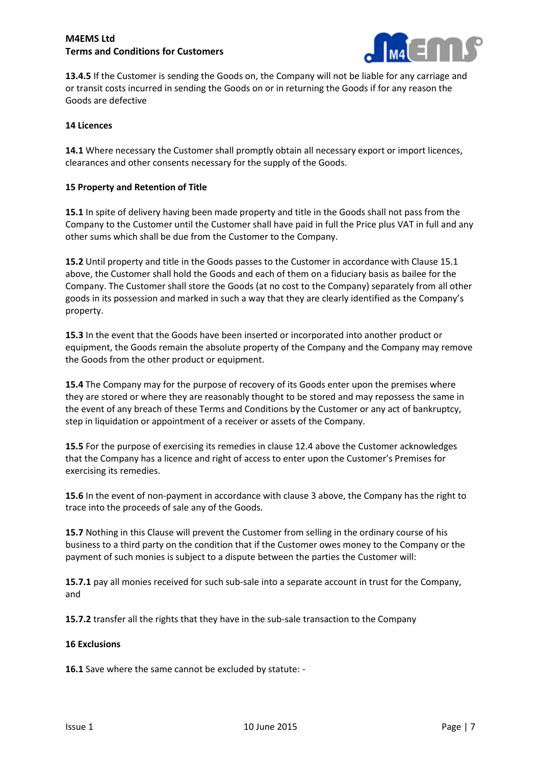

**13.4.5** If the Customer is sending the Goods on, the Company will not be liable for any carriage and or transit costs incurred in sending the Goods on or in returning the Goods if for any reason the Goods are defective

#### **14 Licences**

**14.1** Where necessary the Customer shall promptly obtain all necessary export or import licences. clearances and other consents necessary for the supply of the Goods.

#### **15 Property and Retention of Title**

**15.1** In spite of delivery having been made property and title in the Goods shall not pass from the Company to the Customer until the Customer shall have paid in full the Price plus VAT in full and any other sums which shall be due from the Customer to the Company.

**15.2** Until property and title in the Goods passes to the Customer in accordance with Clause 15.1 above, the Customer shall hold the Goods and each of them on a fiduciary basis as bailee for the Company. The Customer shall store the Goods (at no cost to the Company) separately from all other goods in its possession and marked in such a way that they are clearly identified as the Company's property.

**15.3** In the event that the Goods have been inserted or incorporated into another product or equipment, the Goods remain the absolute property of the Company and the Company may remove the Goods from the other product or equipment.

**15.4** The Company may for the purpose of recovery of its Goods enter upon the premises where they are stored or where they are reasonably thought to be stored and may repossess the same in the event of any breach of these Terms and Conditions by the Customer or any act of bankruptcy, step in liquidation or appointment of a receiver or assets of the Company.

**15.5** For the purpose of exercising its remedies in clause 12.4 above the Customer acknowledges that the Company has a licence and right of access to enter upon the Customer's Premises for exercising its remedies.

**15.6** In the event of non-payment in accordance with clause 3 above, the Company has the right to trace into the proceeds of sale any of the Goods.

**15.7** Nothing in this Clause will prevent the Customer from selling in the ordinary course of his business to a third party on the condition that if the Customer owes money to the Company or the payment of such monies is subject to a dispute between the parties the Customer will:

**15.7.1** pay all monies received for such sub-sale into a separate account in trust for the Company, and

**15.7.2** transfer all the rights that they have in the sub-sale transaction to the Company

#### **16 Exclusions**

**16.1** Save where the same cannot be excluded by statute: -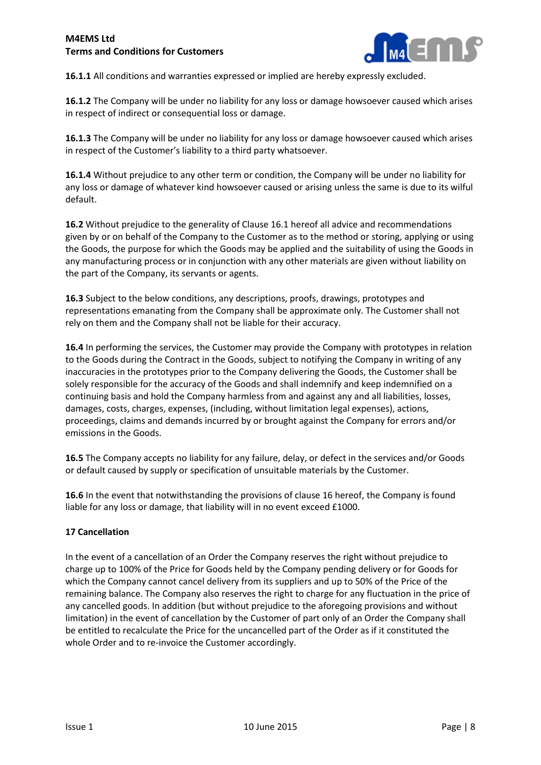

**16.1.1** All conditions and warranties expressed or implied are hereby expressly excluded.

**16.1.2** The Company will be under no liability for any loss or damage howsoever caused which arises in respect of indirect or consequential loss or damage.

**16.1.3** The Company will be under no liability for any loss or damage howsoever caused which arises in respect of the Customer's liability to a third party whatsoever.

**16.1.4** Without prejudice to any other term or condition, the Company will be under no liability for any loss or damage of whatever kind howsoever caused or arising unless the same is due to its wilful default.

**16.2** Without prejudice to the generality of Clause 16.1 hereof all advice and recommendations given by or on behalf of the Company to the Customer as to the method or storing, applying or using the Goods, the purpose for which the Goods may be applied and the suitability of using the Goods in any manufacturing process or in conjunction with any other materials are given without liability on the part of the Company, its servants or agents.

**16.3** Subject to the below conditions, any descriptions, proofs, drawings, prototypes and representations emanating from the Company shall be approximate only. The Customer shall not rely on them and the Company shall not be liable for their accuracy.

**16.4** In performing the services, the Customer may provide the Company with prototypes in relation to the Goods during the Contract in the Goods, subject to notifying the Company in writing of any inaccuracies in the prototypes prior to the Company delivering the Goods, the Customer shall be solely responsible for the accuracy of the Goods and shall indemnify and keep indemnified on a continuing basis and hold the Company harmless from and against any and all liabilities, losses, damages, costs, charges, expenses, (including, without limitation legal expenses), actions, proceedings, claims and demands incurred by or brought against the Company for errors and/or emissions in the Goods.

**16.5** The Company accepts no liability for any failure, delay, or defect in the services and/or Goods or default caused by supply or specification of unsuitable materials by the Customer.

**16.6** In the event that notwithstanding the provisions of clause 16 hereof, the Company is found liable for any loss or damage, that liability will in no event exceed £1000.

### **17 Cancellation**

In the event of a cancellation of an Order the Company reserves the right without prejudice to charge up to 100% of the Price for Goods held by the Company pending delivery or for Goods for which the Company cannot cancel delivery from its suppliers and up to 50% of the Price of the remaining balance. The Company also reserves the right to charge for any fluctuation in the price of any cancelled goods. In addition (but without prejudice to the aforegoing provisions and without limitation) in the event of cancellation by the Customer of part only of an Order the Company shall be entitled to recalculate the Price for the uncancelled part of the Order as if it constituted the whole Order and to re-invoice the Customer accordingly.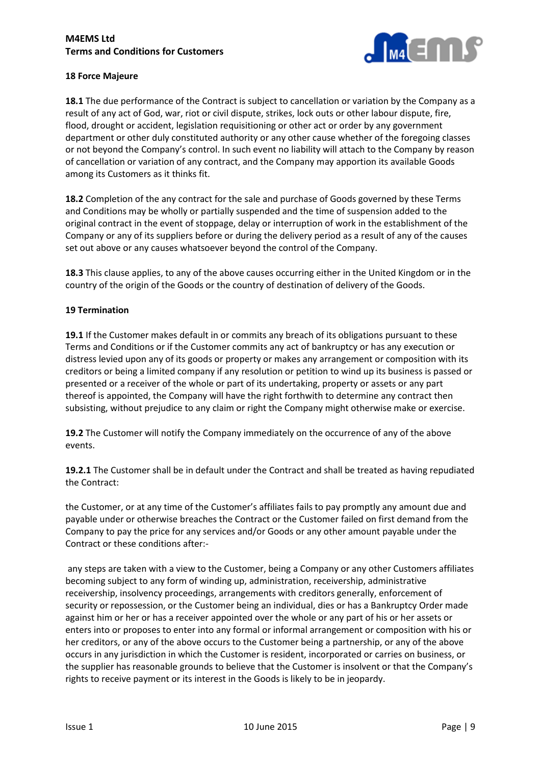

## **18 Force Majeure**

**18.1** The due performance of the Contract is subject to cancellation or variation by the Company as a result of any act of God, war, riot or civil dispute, strikes, lock outs or other labour dispute, fire, flood, drought or accident, legislation requisitioning or other act or order by any government department or other duly constituted authority or any other cause whether of the foregoing classes or not beyond the Company's control. In such event no liability will attach to the Company by reason of cancellation or variation of any contract, and the Company may apportion its available Goods among its Customers as it thinks fit.

**18.2** Completion of the any contract for the sale and purchase of Goods governed by these Terms and Conditions may be wholly or partially suspended and the time of suspension added to the original contract in the event of stoppage, delay or interruption of work in the establishment of the Company or any of its suppliers before or during the delivery period as a result of any of the causes set out above or any causes whatsoever beyond the control of the Company.

**18.3** This clause applies, to any of the above causes occurring either in the United Kingdom or in the country of the origin of the Goods or the country of destination of delivery of the Goods.

## **19 Termination**

**19.1** If the Customer makes default in or commits any breach of its obligations pursuant to these Terms and Conditions or if the Customer commits any act of bankruptcy or has any execution or distress levied upon any of its goods or property or makes any arrangement or composition with its creditors or being a limited company if any resolution or petition to wind up its business is passed or presented or a receiver of the whole or part of its undertaking, property or assets or any part thereof is appointed, the Company will have the right forthwith to determine any contract then subsisting, without prejudice to any claim or right the Company might otherwise make or exercise.

**19.2** The Customer will notify the Company immediately on the occurrence of any of the above events.

**19.2.1** The Customer shall be in default under the Contract and shall be treated as having repudiated the Contract:

the Customer, or at any time of the Customer's affiliates fails to pay promptly any amount due and payable under or otherwise breaches the Contract or the Customer failed on first demand from the Company to pay the price for any services and/or Goods or any other amount payable under the Contract or these conditions after:-

any steps are taken with a view to the Customer, being a Company or any other Customers affiliates becoming subject to any form of winding up, administration, receivership, administrative receivership, insolvency proceedings, arrangements with creditors generally, enforcement of security or repossession, or the Customer being an individual, dies or has a Bankruptcy Order made against him or her or has a receiver appointed over the whole or any part of his or her assets or enters into or proposes to enter into any formal or informal arrangement or composition with his or her creditors, or any of the above occurs to the Customer being a partnership, or any of the above occurs in any jurisdiction in which the Customer is resident, incorporated or carries on business, or the supplier has reasonable grounds to believe that the Customer is insolvent or that the Company's rights to receive payment or its interest in the Goods is likely to be in jeopardy.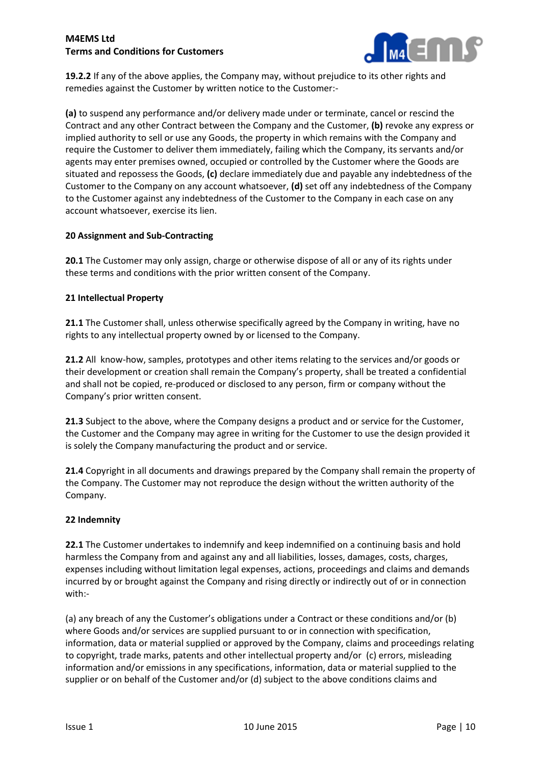

**19.2.2** If any of the above applies, the Company may, without prejudice to its other rights and remedies against the Customer by written notice to the Customer:-

**(a)** to suspend any performance and/or delivery made under or terminate, cancel or rescind the Contract and any other Contract between the Company and the Customer, **(b)** revoke any express or implied authority to sell or use any Goods, the property in which remains with the Company and require the Customer to deliver them immediately, failing which the Company, its servants and/or agents may enter premises owned, occupied or controlled by the Customer where the Goods are situated and repossess the Goods, **(c)** declare immediately due and payable any indebtedness of the Customer to the Company on any account whatsoever, **(d)** set off any indebtedness of the Company to the Customer against any indebtedness of the Customer to the Company in each case on any account whatsoever, exercise its lien.

## **20 Assignment and Sub-Contracting**

**20.1** The Customer may only assign, charge or otherwise dispose of all or any of its rights under these terms and conditions with the prior written consent of the Company.

## **21 Intellectual Property**

**21.1** The Customer shall, unless otherwise specifically agreed by the Company in writing, have no rights to any intellectual property owned by or licensed to the Company.

**21.2** All know-how, samples, prototypes and other items relating to the services and/or goods or their development or creation shall remain the Company's property, shall be treated a confidential and shall not be copied, re-produced or disclosed to any person, firm or company without the Company's prior written consent.

**21.3** Subject to the above, where the Company designs a product and or service for the Customer, the Customer and the Company may agree in writing for the Customer to use the design provided it is solely the Company manufacturing the product and or service.

**21.4** Copyright in all documents and drawings prepared by the Company shall remain the property of the Company. The Customer may not reproduce the design without the written authority of the Company.

### **22 Indemnity**

**22.1** The Customer undertakes to indemnify and keep indemnified on a continuing basis and hold harmless the Company from and against any and all liabilities, losses, damages, costs, charges, expenses including without limitation legal expenses, actions, proceedings and claims and demands incurred by or brought against the Company and rising directly or indirectly out of or in connection with:-

(a) any breach of any the Customer's obligations under a Contract or these conditions and/or (b) where Goods and/or services are supplied pursuant to or in connection with specification, information, data or material supplied or approved by the Company, claims and proceedings relating to copyright, trade marks, patents and other intellectual property and/or (c) errors, misleading information and/or emissions in any specifications, information, data or material supplied to the supplier or on behalf of the Customer and/or (d) subject to the above conditions claims and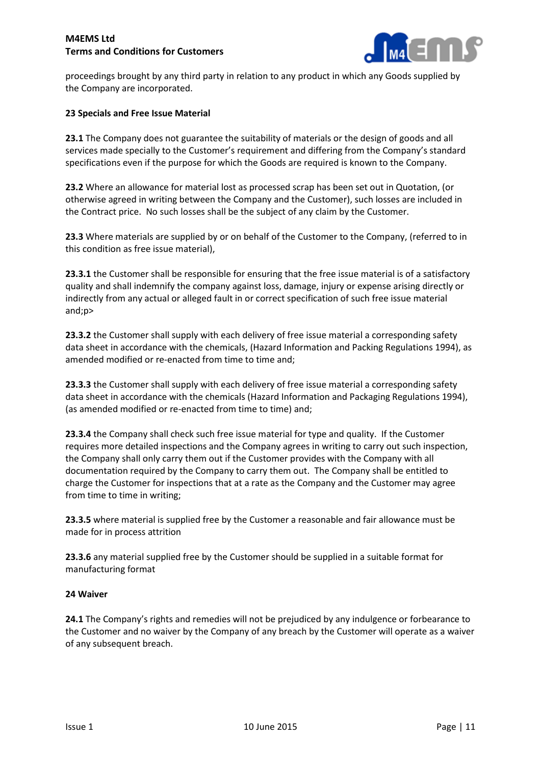

proceedings brought by any third party in relation to any product in which any Goods supplied by the Company are incorporated.

### **23 Specials and Free Issue Material**

**23.1** The Company does not guarantee the suitability of materials or the design of goods and all services made specially to the Customer's requirement and differing from the Company's standard specifications even if the purpose for which the Goods are required is known to the Company.

**23.2** Where an allowance for material lost as processed scrap has been set out in Quotation, (or otherwise agreed in writing between the Company and the Customer), such losses are included in the Contract price. No such losses shall be the subject of any claim by the Customer.

**23.3** Where materials are supplied by or on behalf of the Customer to the Company, (referred to in this condition as free issue material),

**23.3.1** the Customer shall be responsible for ensuring that the free issue material is of a satisfactory quality and shall indemnify the company against loss, damage, injury or expense arising directly or indirectly from any actual or alleged fault in or correct specification of such free issue material and;p>

**23.3.2** the Customer shall supply with each delivery of free issue material a corresponding safety data sheet in accordance with the chemicals, (Hazard Information and Packing Regulations 1994), as amended modified or re-enacted from time to time and;

**23.3.3** the Customer shall supply with each delivery of free issue material a corresponding safety data sheet in accordance with the chemicals (Hazard Information and Packaging Regulations 1994), (as amended modified or re-enacted from time to time) and;

**23.3.4** the Company shall check such free issue material for type and quality. If the Customer requires more detailed inspections and the Company agrees in writing to carry out such inspection, the Company shall only carry them out if the Customer provides with the Company with all documentation required by the Company to carry them out. The Company shall be entitled to charge the Customer for inspections that at a rate as the Company and the Customer may agree from time to time in writing;

**23.3.5** where material is supplied free by the Customer a reasonable and fair allowance must be made for in process attrition

**23.3.6** any material supplied free by the Customer should be supplied in a suitable format for manufacturing format

### **24 Waiver**

**24.1** The Company's rights and remedies will not be prejudiced by any indulgence or forbearance to the Customer and no waiver by the Company of any breach by the Customer will operate as a waiver of any subsequent breach.